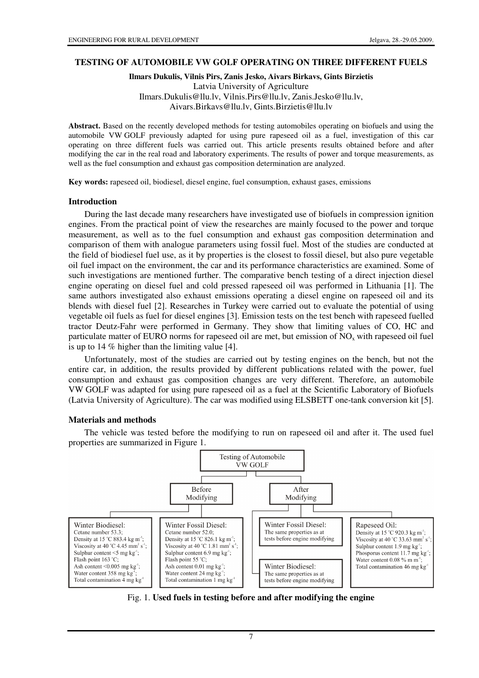### **TESTING OF AUTOMOBILE VW GOLF OPERATING ON THREE DIFFERENT FUELS**

**Ilmars Dukulis, Vilnis Pirs, Zanis Jesko, Aivars Birkavs, Gints Birzietis**  Latvia University of Agriculture Ilmars.Dukulis@llu.lv, Vilnis.Pirs@llu.lv, Zanis.Jesko@llu.lv, Aivars.Birkavs@llu.lv, Gints.Birzietis@llu.lv

**Abstract.** Based on the recently developed methods for testing automobiles operating on biofuels and using the automobile VW GOLF previously adapted for using pure rapeseed oil as a fuel, investigation of this car operating on three different fuels was carried out. This article presents results obtained before and after modifying the car in the real road and laboratory experiments. The results of power and torque measurements, as well as the fuel consumption and exhaust gas composition determination are analyzed.

**Key words:** rapeseed oil, biodiesel, diesel engine, fuel consumption, exhaust gases, emissions

#### **Introduction**

During the last decade many researchers have investigated use of biofuels in compression ignition engines. From the practical point of view the researches are mainly focused to the power and torque measurement, as well as to the fuel consumption and exhaust gas composition determination and comparison of them with analogue parameters using fossil fuel. Most of the studies are conducted at the field of biodiesel fuel use, as it by properties is the closest to fossil diesel, but also pure vegetable oil fuel impact on the environment, the car and its performance characteristics are examined. Some of such investigations are mentioned further. The comparative bench testing of a direct injection diesel engine operating on diesel fuel and cold pressed rapeseed oil was performed in Lithuania [1]. The same authors investigated also exhaust emissions operating a diesel engine on rapeseed oil and its blends with diesel fuel [2]. Researches in Turkey were carried out to evaluate the potential of using vegetable oil fuels as fuel for diesel engines [3]. Emission tests on the test bench with rapeseed fuelled tractor Deutz-Fahr were performed in Germany. They show that limiting values of CO, HC and particulate matter of EURO norms for rapeseed oil are met, but emission of  $NO<sub>x</sub>$  with rapeseed oil fuel is up to 14 % higher than the limiting value [4].

Unfortunately, most of the studies are carried out by testing engines on the bench, but not the entire car, in addition, the results provided by different publications related with the power, fuel consumption and exhaust gas composition changes are very different. Therefore, an automobile VW GOLF was adapted for using pure rapeseed oil as a fuel at the Scientific Laboratory of Biofuels (Latvia University of Agriculture). The car was modified using ELSBETT one-tank conversion kit [5].

### **Materials and methods**

The vehicle was tested before the modifying to run on rapeseed oil and after it. The used fuel properties are summarized in Figure 1.



Fig. 1. **Used fuels in testing before and after modifying the engine** 

7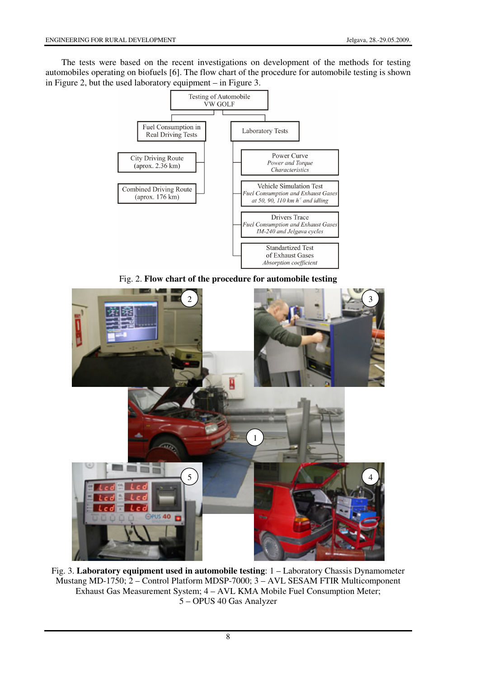The tests were based on the recent investigations on development of the methods for testing automobiles operating on biofuels [6]. The flow chart of the procedure for automobile testing is shown in Figure 2, but the used laboratory equipment – in Figure 3.



Fig. 2. **Flow chart of the procedure for automobile testing** 



Fig. 3. **Laboratory equipment used in automobile testing**: 1 – Laboratory Chassis Dynamometer Mustang MD-1750; 2 – Control Platform MDSP-7000; 3 – AVL SESAM FTIR Multicomponent Exhaust Gas Measurement System; 4 – AVL KMA Mobile Fuel Consumption Meter; 5 – OPUS 40 Gas Analyzer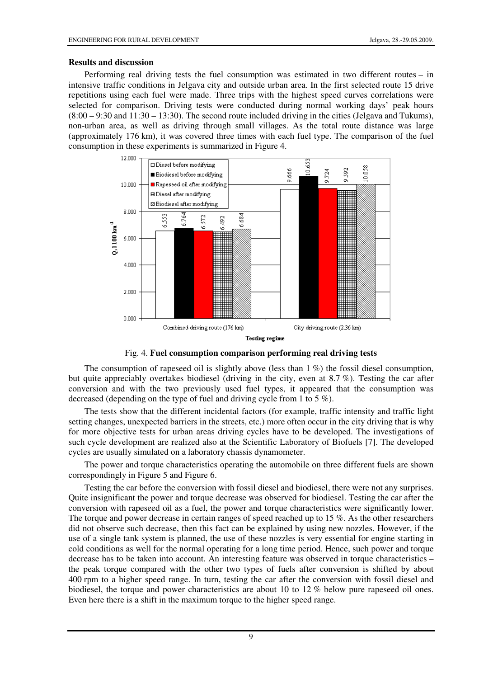## **Results and discussion**

Performing real driving tests the fuel consumption was estimated in two different routes – in intensive traffic conditions in Jelgava city and outside urban area. In the first selected route 15 drive repetitions using each fuel were made. Three trips with the highest speed curves correlations were selected for comparison. Driving tests were conducted during normal working days' peak hours  $(8:00 - 9:30$  and  $11:30 - 13:30$ . The second route included driving in the cities (Jelgava and Tukums), non-urban area, as well as driving through small villages. As the total route distance was large (approximately 176 km), it was covered three times with each fuel type. The comparison of the fuel consumption in these experiments is summarized in Figure 4.



Fig. 4. **Fuel consumption comparison performing real driving tests**

The consumption of rapeseed oil is slightly above (less than  $1\%$ ) the fossil diesel consumption, but quite appreciably overtakes biodiesel (driving in the city, even at 8.7 %). Testing the car after conversion and with the two previously used fuel types, it appeared that the consumption was decreased (depending on the type of fuel and driving cycle from 1 to 5 %).

The tests show that the different incidental factors (for example, traffic intensity and traffic light setting changes, unexpected barriers in the streets, etc.) more often occur in the city driving that is why for more objective tests for urban areas driving cycles have to be developed. The investigations of such cycle development are realized also at the Scientific Laboratory of Biofuels [7]. The developed cycles are usually simulated on a laboratory chassis dynamometer.

The power and torque characteristics operating the automobile on three different fuels are shown correspondingly in Figure 5 and Figure 6.

Testing the car before the conversion with fossil diesel and biodiesel, there were not any surprises. Quite insignificant the power and torque decrease was observed for biodiesel. Testing the car after the conversion with rapeseed oil as a fuel, the power and torque characteristics were significantly lower. The torque and power decrease in certain ranges of speed reached up to 15 %. As the other researchers did not observe such decrease, then this fact can be explained by using new nozzles. However, if the use of a single tank system is planned, the use of these nozzles is very essential for engine starting in cold conditions as well for the normal operating for a long time period. Hence, such power and torque decrease has to be taken into account. An interesting feature was observed in torque characteristics – the peak torque compared with the other two types of fuels after conversion is shifted by about 400 rpm to a higher speed range. In turn, testing the car after the conversion with fossil diesel and biodiesel, the torque and power characteristics are about 10 to 12 % below pure rapeseed oil ones. Even here there is a shift in the maximum torque to the higher speed range.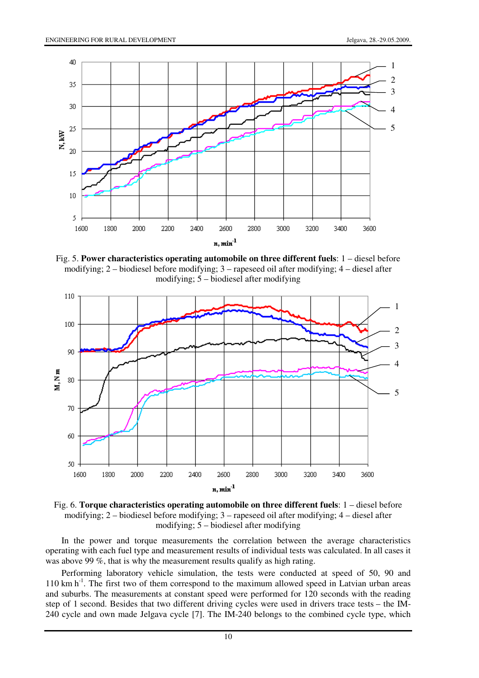

Fig. 5. **Power characteristics operating automobile on three different fuels**: 1 – diesel before modifying; 2 – biodiesel before modifying; 3 – rapeseed oil after modifying; 4 – diesel after modifying; 5 – biodiesel after modifying



Fig. 6. **Torque characteristics operating automobile on three different fuels**: 1 – diesel before modifying; 2 – biodiesel before modifying; 3 – rapeseed oil after modifying; 4 – diesel after modifying; 5 – biodiesel after modifying

In the power and torque measurements the correlation between the average characteristics operating with each fuel type and measurement results of individual tests was calculated. In all cases it was above 99 %, that is why the measurement results qualify as high rating.

Performing laboratory vehicle simulation, the tests were conducted at speed of 50, 90 and  $110 \text{ km h}^{-1}$ . The first two of them correspond to the maximum allowed speed in Latvian urban areas and suburbs. The measurements at constant speed were performed for 120 seconds with the reading step of 1 second. Besides that two different driving cycles were used in drivers trace tests – the IM-240 cycle and own made Jelgava cycle [7]. The IM-240 belongs to the combined cycle type, which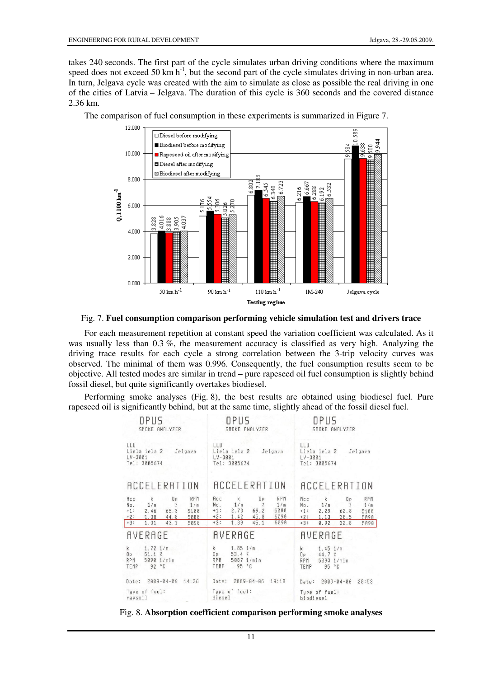takes 240 seconds. The first part of the cycle simulates urban driving conditions where the maximum speed does not exceed 50 km  $h^{-1}$ , but the second part of the cycle simulates driving in non-urban area. In turn, Jelgava cycle was created with the aim to simulate as close as possible the real driving in one of the cities of Latvia – Jelgava. The duration of this cycle is 360 seconds and the covered distance 2.36 km.



The comparison of fuel consumption in these experiments is summarized in Figure 7.

### Fig. 7. **Fuel consumption comparison performing vehicle simulation test and drivers trace**

For each measurement repetition at constant speed the variation coefficient was calculated. As it was usually less than 0.3 %, the measurement accuracy is classified as very high. Analyzing the driving trace results for each cycle a strong correlation between the 3-trip velocity curves was observed. The minimal of them was 0.996. Consequently, the fuel consumption results seem to be objective. All tested modes are similar in trend – pure rapeseed oil fuel consumption is slightly behind fossil diesel, but quite significantly overtakes biodiesel.

Performing smoke analyses (Fig. 8), the best results are obtained using biodiesel fuel. Pure rapeseed oil is significantly behind, but at the same time, slightly ahead of the fossil diesel fuel.

| OPUS                                                                                                                                                                 | OPUS                                                                                                                                                          | OPUS                                                                                                                                                     |
|----------------------------------------------------------------------------------------------------------------------------------------------------------------------|---------------------------------------------------------------------------------------------------------------------------------------------------------------|----------------------------------------------------------------------------------------------------------------------------------------------------------|
| SMOKE ANALYZER                                                                                                                                                       | SMOKE ANALYZER                                                                                                                                                | SMOKE ANALYZER                                                                                                                                           |
| LLU                                                                                                                                                                  | LLU                                                                                                                                                           | LLU.                                                                                                                                                     |
| Liela iela 2 Jelgava                                                                                                                                                 | Liela iela 2 Jelgava                                                                                                                                          | Liela iela 2 Jelgava                                                                                                                                     |
| $LV - 3001$                                                                                                                                                          | $LV-3001$                                                                                                                                                     | $LV-3001$                                                                                                                                                |
| Tel: 3005674                                                                                                                                                         | Tel: 3005674                                                                                                                                                  | Tel: 3005674                                                                                                                                             |
| ACCELERATION                                                                                                                                                         | ACCELERATION                                                                                                                                                  | <b>ACCELERATION</b>                                                                                                                                      |
| RPM<br>Acc<br>$\mathsf{k}$<br>Op<br>No.<br>1/m<br>1/m<br>$\gamma$<br>65.3<br>$+1:$<br>2.46<br>5100<br>$+2:$<br>1.38<br>44.8<br>5080<br>$+3:$<br>1.31<br>43.1<br>5090 | RPM<br>Acc<br>k<br>Op<br>No.<br>1/m<br>1/m<br>$\mathbb{Z}$<br>69.2<br>$+1:$<br>5080<br>2.73<br>$+2:$<br>1.42<br>45.8<br>5090<br>$+3:$<br>1.39<br>5090<br>45.1 | RPM<br>Acc<br>$\mathsf{k}$<br>0P<br>No.<br>1/m<br>1/m<br>$+1:$<br>2.29<br>62.8<br>5100<br>$+2:$<br>38.5<br>1.13<br>5090<br>$+3:$<br>5090<br>0.92<br>32.8 |
| <b>AVERAGE</b>                                                                                                                                                       | <b>AVERAGE</b>                                                                                                                                                | <b>AVERAGE</b>                                                                                                                                           |
| $1.72$ $1/m$                                                                                                                                                         | $1.85$ $1/m$                                                                                                                                                  | $1.45$ $1/m$                                                                                                                                             |
| $\mathsf{k}$                                                                                                                                                         | k                                                                                                                                                             | $\mathsf{k}$                                                                                                                                             |
| 51.1%                                                                                                                                                                | 53.4%                                                                                                                                                         | 44.7%                                                                                                                                                    |
| 0P                                                                                                                                                                   | 0P                                                                                                                                                            | 0P                                                                                                                                                       |
| 5090 1/min                                                                                                                                                           | RPM                                                                                                                                                           | 5093 1/min                                                                                                                                               |
| RPM                                                                                                                                                                  | 5087 1/min                                                                                                                                                    | RPM                                                                                                                                                      |
| 92 °C                                                                                                                                                                | TEMP                                                                                                                                                          | TEMP                                                                                                                                                     |
| TEMP                                                                                                                                                                 | 95 °C                                                                                                                                                         | 95 °C                                                                                                                                                    |
| Date: 2009-04-06 14:26                                                                                                                                               | Date: 2009-04-06 19:18                                                                                                                                        | Date: 2009-04-06 20:53                                                                                                                                   |
| Type of fuel:                                                                                                                                                        | Type of fuel:                                                                                                                                                 | Type of fuel:                                                                                                                                            |
| rapsoil                                                                                                                                                              | diesel                                                                                                                                                        | biodiesel                                                                                                                                                |

Fig. 8. **Absorption coefficient comparison performing smoke analyses**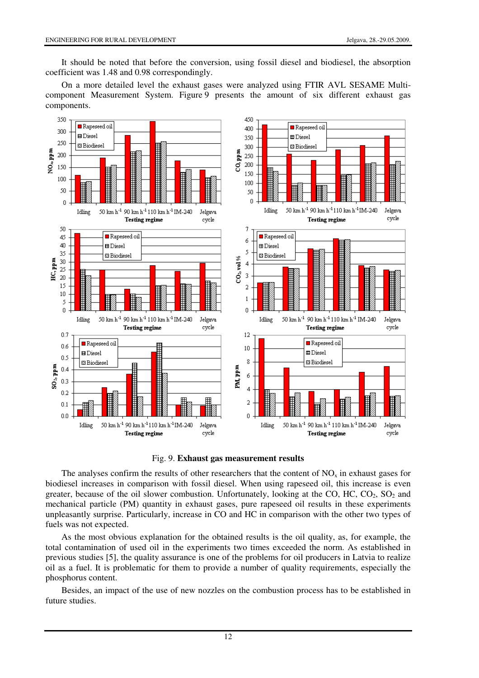It should be noted that before the conversion, using fossil diesel and biodiesel, the absorption coefficient was 1.48 and 0.98 correspondingly.

On a more detailed level the exhaust gases were analyzed using FTIR AVL SESAME Multicomponent Measurement System. Figure 9 presents the amount of six different exhaust gas components.



Fig. 9. **Exhaust gas measurement results**

The analyses confirm the results of other researchers that the content of  $NO<sub>x</sub>$  in exhaust gases for biodiesel increases in comparison with fossil diesel. When using rapeseed oil, this increase is even greater, because of the oil slower combustion. Unfortunately, looking at the CO, HC,  $CO_2$ ,  $SO_2$  and mechanical particle (PM) quantity in exhaust gases, pure rapeseed oil results in these experiments unpleasantly surprise. Particularly, increase in CO and HC in comparison with the other two types of fuels was not expected.

As the most obvious explanation for the obtained results is the oil quality, as, for example, the total contamination of used oil in the experiments two times exceeded the norm. As established in previous studies [5], the quality assurance is one of the problems for oil producers in Latvia to realize oil as a fuel. It is problematic for them to provide a number of quality requirements, especially the phosphorus content.

Besides, an impact of the use of new nozzles on the combustion process has to be established in future studies.